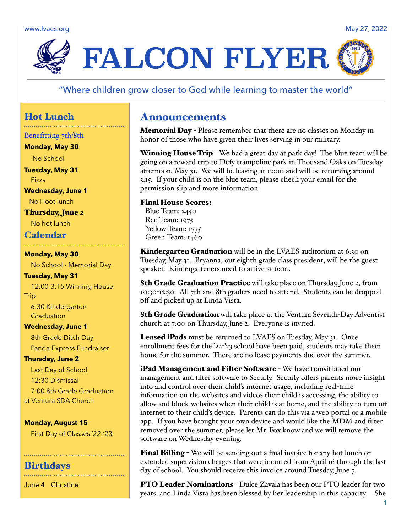www.lvaes.org May 27, 2022



# "Where children grow closer to God while learning to master the world"

# Hot Lunch

Benefitting 7th/8th

**Monday, May 30**

No School

**Tuesday, May 31** Pizza

**Wednesday, June 1** No Hoot lunch

Thursday, June 2 No hot lunch

# Calendar

**Monday, May 30** No School - Memorial Day

**Tuesday, May 31** 12:00-3:15 Winning House **Trip** 6:30 Kindergarten **Graduation** 

## **Wednesday, June 1**

8th Grade Ditch Day Panda Express Fundraiser

## **Thursday, June 2**

Last Day of School 12:30 Dismissal 7:00 8th Grade Graduation at Ventura SDA Church

### **Monday, August 15**

First Day of Classes '22-'23

## **Birthdays**

June 4 Christine

# Announcements

Memorial Day - Please remember that there are no classes on Monday in honor of those who have given their lives serving in our military.

**Winning House Trip** - We had a great day at park day! The blue team will be going on a reward trip to Defy trampoline park in Thousand Oaks on Tuesday afternoon, May 31. We will be leaving at 12:00 and will be returning around 3:15. If your child is on the blue team, please check your email for the permission slip and more information.

### Final House Scores:

Blue Team: 2450 Red Team: 1975 Yellow Team: 1775 Green Team: 1460

Kindergarten Graduation will be in the LVAES auditorium at 6:30 on Tuesday, May 31. Bryanna, our eighth grade class president, will be the guest speaker. Kindergarteners need to arrive at 6:00.

**8th Grade Graduation Practice** will take place on Thursday, June 2, from 10:30-12:30. All 7th and 8th graders need to attend. Students can be dropped off and picked up at Linda Vista.

8th Grade Graduation will take place at the Ventura Seventh-Day Adventist church at 7:00 on Thursday, June 2. Everyone is invited.

Leased iPads must be returned to LVAES on Tuesday, May 31. Once enrollment fees for the '22-'23 school have been paid, students may take them home for the summer. There are no lease payments due over the summer.

iPad Management and Filter Software - We have transitioned our management and filter software to Securly. Securly offers parents more insight into and control over their child's internet usage, including real-time information on the websites and videos their child is accessing, the ability to allow and block websites when their child is at home, and the ability to turn off internet to their child's device. Parents can do this via a web portal or a mobile app. If you have brought your own device and would like the MDM and filter removed over the summer, please let Mr. Fox know and we will remove the software on Wednesday evening.

**Final Billing** - We will be sending out a final invoice for any hot lunch or extended supervision charges that were incurred from April 16 through the last day of school. You should receive this invoice around Tuesday, June 7.

PTO Leader Nominations - Dulce Zavala has been our PTO leader for two years, and Linda Vista has been blessed by her leadership in this capacity. She